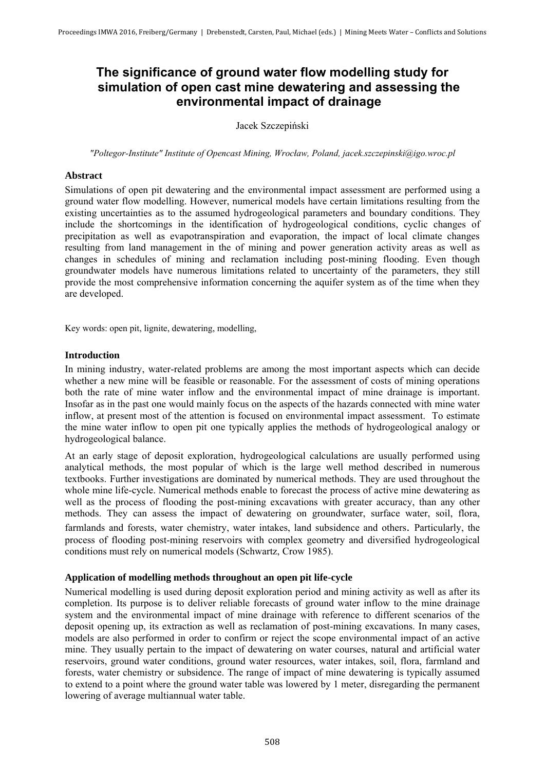# **The significance of ground water flow modelling study for simulation of open cast mine dewatering and assessing the environmental impact of drainage**

Jacek Szczepiński

*"Poltegor-Institute" Institute of Opencast Mining, Wrocław, Poland, jacek.szczepinski@igo.wroc.pl* 

# **Abstract**

Simulations of open pit dewatering and the environmental impact assessment are performed using a ground water flow modelling. However, numerical models have certain limitations resulting from the existing uncertainties as to the assumed hydrogeological parameters and boundary conditions. They include the shortcomings in the identification of hydrogeological conditions, cyclic changes of precipitation as well as evapotranspiration and evaporation, the impact of local climate changes resulting from land management in the of mining and power generation activity areas as well as changes in schedules of mining and reclamation including post-mining flooding. Even though groundwater models have numerous limitations related to uncertainty of the parameters, they still provide the most comprehensive information concerning the aquifer system as of the time when they are developed.

Key words: open pit, lignite, dewatering, modelling,

# **Introduction**

In mining industry, water-related problems are among the most important aspects which can decide whether a new mine will be feasible or reasonable. For the assessment of costs of mining operations both the rate of mine water inflow and the environmental impact of mine drainage is important. Insofar as in the past one would mainly focus on the aspects of the hazards connected with mine water inflow, at present most of the attention is focused on environmental impact assessment. To estimate the mine water inflow to open pit one typically applies the methods of hydrogeological analogy or hydrogeological balance.

At an early stage of deposit exploration, hydrogeological calculations are usually performed using analytical methods, the most popular of which is the large well method described in numerous textbooks. Further investigations are dominated by numerical methods. They are used throughout the whole mine life-cycle. Numerical methods enable to forecast the process of active mine dewatering as well as the process of flooding the post-mining excavations with greater accuracy, than any other methods. They can assess the impact of dewatering on groundwater, surface water, soil, flora, farmlands and forests, water chemistry, water intakes, land subsidence and others. Particularly, the process of flooding post-mining reservoirs with complex geometry and diversified hydrogeological conditions must rely on numerical models (Schwartz, Crow 1985).

#### **Application of modelling methods throughout an open pit life-cycle**

Numerical modelling is used during deposit exploration period and mining activity as well as after its completion. Its purpose is to deliver reliable forecasts of ground water inflow to the mine drainage system and the environmental impact of mine drainage with reference to different scenarios of the deposit opening up, its extraction as well as reclamation of post-mining excavations. In many cases, models are also performed in order to confirm or reject the scope environmental impact of an active mine. They usually pertain to the impact of dewatering on water courses, natural and artificial water reservoirs, ground water conditions, ground water resources, water intakes, soil, flora, farmland and forests, water chemistry or subsidence. The range of impact of mine dewatering is typically assumed to extend to a point where the ground water table was lowered by 1 meter, disregarding the permanent lowering of average multiannual water table.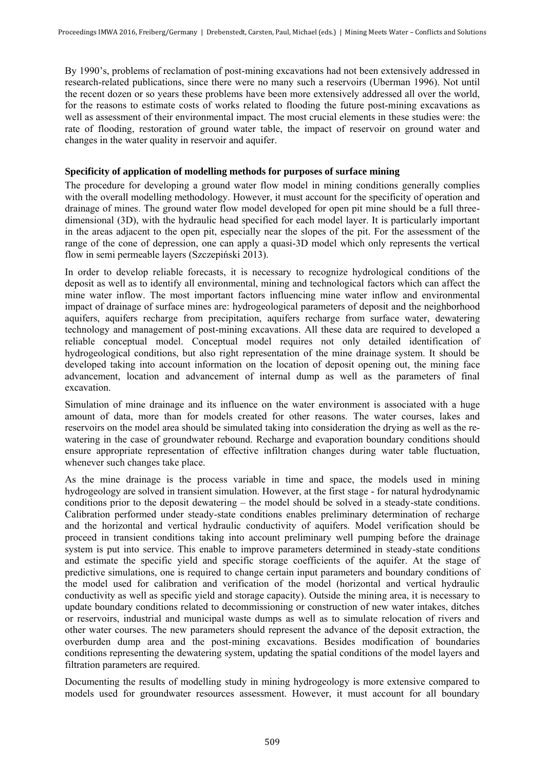By 1990's, problems of reclamation of post-mining excavations had not been extensively addressed in research-related publications, since there were no many such a reservoirs (Uberman 1996). Not until the recent dozen or so years these problems have been more extensively addressed all over the world, for the reasons to estimate costs of works related to flooding the future post-mining excavations as well as assessment of their environmental impact. The most crucial elements in these studies were: the rate of flooding, restoration of ground water table, the impact of reservoir on ground water and changes in the water quality in reservoir and aquifer.

### **Specificity of application of modelling methods for purposes of surface mining**

The procedure for developing a ground water flow model in mining conditions generally complies with the overall modelling methodology. However, it must account for the specificity of operation and drainage of mines. The ground water flow model developed for open pit mine should be a full threedimensional (3D), with the hydraulic head specified for each model layer. It is particularly important in the areas adjacent to the open pit, especially near the slopes of the pit. For the assessment of the range of the cone of depression, one can apply a quasi-3D model which only represents the vertical flow in semi permeable layers (Szczepiński 2013).

In order to develop reliable forecasts, it is necessary to recognize hydrological conditions of the deposit as well as to identify all environmental, mining and technological factors which can affect the mine water inflow. The most important factors influencing mine water inflow and environmental impact of drainage of surface mines are: hydrogeological parameters of deposit and the neighborhood aquifers, aquifers recharge from precipitation, aquifers recharge from surface water, dewatering technology and management of post-mining excavations. All these data are required to developed a reliable conceptual model. Conceptual model requires not only detailed identification of hydrogeological conditions, but also right representation of the mine drainage system. It should be developed taking into account information on the location of deposit opening out, the mining face advancement, location and advancement of internal dump as well as the parameters of final excavation.

Simulation of mine drainage and its influence on the water environment is associated with a huge amount of data, more than for models created for other reasons. The water courses, lakes and reservoirs on the model area should be simulated taking into consideration the drying as well as the rewatering in the case of groundwater rebound. Recharge and evaporation boundary conditions should ensure appropriate representation of effective infiltration changes during water table fluctuation, whenever such changes take place.

As the mine drainage is the process variable in time and space, the models used in mining hydrogeology are solved in transient simulation. However, at the first stage - for natural hydrodynamic conditions prior to the deposit dewatering – the model should be solved in a steady-state conditions. Calibration performed under steady-state conditions enables preliminary determination of recharge and the horizontal and vertical hydraulic conductivity of aquifers. Model verification should be proceed in transient conditions taking into account preliminary well pumping before the drainage system is put into service. This enable to improve parameters determined in steady-state conditions and estimate the specific yield and specific storage coefficients of the aquifer. At the stage of predictive simulations, one is required to change certain input parameters and boundary conditions of the model used for calibration and verification of the model (horizontal and vertical hydraulic conductivity as well as specific yield and storage capacity). Outside the mining area, it is necessary to update boundary conditions related to decommissioning or construction of new water intakes, ditches or reservoirs, industrial and municipal waste dumps as well as to simulate relocation of rivers and other water courses. The new parameters should represent the advance of the deposit extraction, the overburden dump area and the post-mining excavations. Besides modification of boundaries conditions representing the dewatering system, updating the spatial conditions of the model layers and filtration parameters are required.

Documenting the results of modelling study in mining hydrogeology is more extensive compared to models used for groundwater resources assessment. However, it must account for all boundary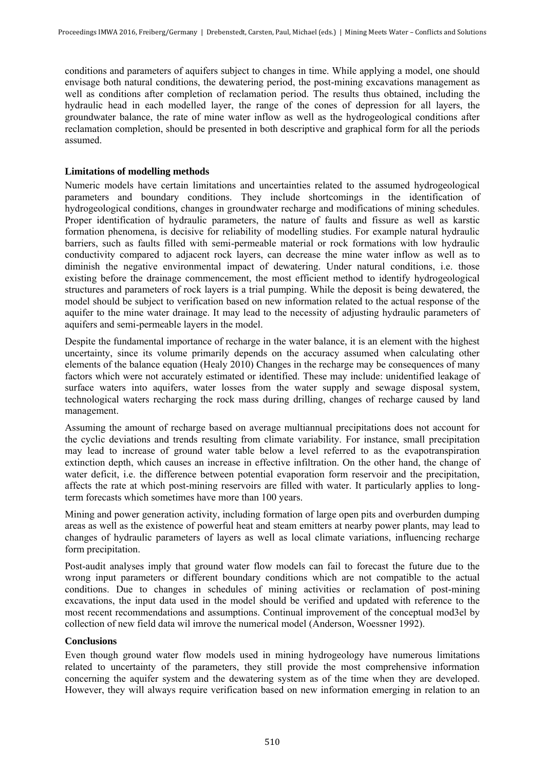conditions and parameters of aquifers subject to changes in time. While applying a model, one should envisage both natural conditions, the dewatering period, the post-mining excavations management as well as conditions after completion of reclamation period. The results thus obtained, including the hydraulic head in each modelled layer, the range of the cones of depression for all layers, the groundwater balance, the rate of mine water inflow as well as the hydrogeological conditions after reclamation completion, should be presented in both descriptive and graphical form for all the periods assumed.

## **Limitations of modelling methods**

Numeric models have certain limitations and uncertainties related to the assumed hydrogeological parameters and boundary conditions. They include shortcomings in the identification of hydrogeological conditions, changes in groundwater recharge and modifications of mining schedules. Proper identification of hydraulic parameters, the nature of faults and fissure as well as karstic formation phenomena, is decisive for reliability of modelling studies. For example natural hydraulic barriers, such as faults filled with semi-permeable material or rock formations with low hydraulic conductivity compared to adjacent rock layers, can decrease the mine water inflow as well as to diminish the negative environmental impact of dewatering. Under natural conditions, i.e. those existing before the drainage commencement, the most efficient method to identify hydrogeological structures and parameters of rock layers is a trial pumping. While the deposit is being dewatered, the model should be subject to verification based on new information related to the actual response of the aquifer to the mine water drainage. It may lead to the necessity of adjusting hydraulic parameters of aquifers and semi-permeable layers in the model.

Despite the fundamental importance of recharge in the water balance, it is an element with the highest uncertainty, since its volume primarily depends on the accuracy assumed when calculating other elements of the balance equation (Healy 2010) Changes in the recharge may be consequences of many factors which were not accurately estimated or identified. These may include: unidentified leakage of surface waters into aquifers, water losses from the water supply and sewage disposal system, technological waters recharging the rock mass during drilling, changes of recharge caused by land management.

Assuming the amount of recharge based on average multiannual precipitations does not account for the cyclic deviations and trends resulting from climate variability. For instance, small precipitation may lead to increase of ground water table below a level referred to as the evapotranspiration extinction depth, which causes an increase in effective infiltration. On the other hand, the change of water deficit, i.e. the difference between potential evaporation form reservoir and the precipitation, affects the rate at which post-mining reservoirs are filled with water. It particularly applies to longterm forecasts which sometimes have more than 100 years.

Mining and power generation activity, including formation of large open pits and overburden dumping areas as well as the existence of powerful heat and steam emitters at nearby power plants, may lead to changes of hydraulic parameters of layers as well as local climate variations, influencing recharge form precipitation.

Post-audit analyses imply that ground water flow models can fail to forecast the future due to the wrong input parameters or different boundary conditions which are not compatible to the actual conditions. Due to changes in schedules of mining activities or reclamation of post-mining excavations, the input data used in the model should be verified and updated with reference to the most recent recommendations and assumptions. Continual improvement of the conceptual mod3el by collection of new field data wil imrove the numerical model (Anderson, Woessner 1992).

#### **Conclusions**

Even though ground water flow models used in mining hydrogeology have numerous limitations related to uncertainty of the parameters, they still provide the most comprehensive information concerning the aquifer system and the dewatering system as of the time when they are developed. However, they will always require verification based on new information emerging in relation to an